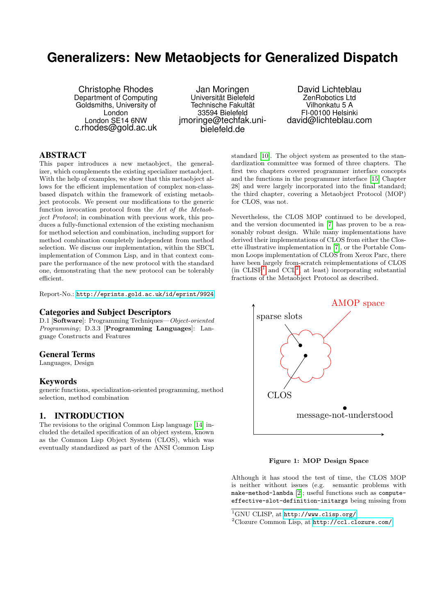# **Generalizers: New Metaobjects for Generalized Dispatch**

Christophe Rhodes Department of Computing Goldsmiths, University of London London SE14 6NW c.rhodes@gold.ac.uk

Jan Moringen Universität Bielefeld Technische Fakultät 33594 Bielefeld jmoringe@techfak.unibielefeld.de

David Lichteblau ZenRobotics Ltd Vilhonkatu 5 A FI-00100 Helsinki david@lichteblau.com

# ABSTRACT

This paper introduces a new metaobject, the generalizer, which complements the existing specializer metaobject. With the help of examples, we show that this metaobject allows for the efficient implementation of complex non-classbased dispatch within the framework of existing metaobject protocols. We present our modifications to the generic function invocation protocol from the Art of the Metaobject Protocol; in combination with previous work, this produces a fully-functional extension of the existing mechanism for method selection and combination, including support for method combination completely independent from method selection. We discuss our implementation, within the SBCL implementation of Common Lisp, and in that context compare the performance of the new protocol with the standard one, demonstrating that the new protocol can be tolerably efficient.

Report-No.: <http://eprints.gold.ac.uk/id/eprint/9924>

#### Categories and Subject Descriptors

D.1 [Software]: Programming Techniques—Object-oriented Programming; D.3.3 [Programming Languages]: Language Constructs and Features

## General Terms

Languages, Design

#### Keywords

generic functions, specialization-oriented programming, method selection, method combination

## 1. INTRODUCTION

The revisions to the original Common Lisp language [\[14\]](#page-7-0) included the detailed specification of an object system, known as the Common Lisp Object System (CLOS), which was eventually standardized as part of the ANSI Common Lisp

standard [\[10\]](#page-7-1). The object system as presented to the standardization committee was formed of three chapters. The first two chapters covered programmer interface concepts and the functions in the programmer interface [\[15,](#page-7-2) Chapter 28] and were largely incorporated into the final standard; the third chapter, covering a Metaobject Protocol (MOP) for CLOS, was not.

Nevertheless, the CLOS MOP continued to be developed, and the version documented in [\[7\]](#page-7-3) has proven to be a reasonably robust design. While many implementations have derived their implementations of CLOS from either the Closette illustrative implementation in [\[7\]](#page-7-3), or the Portable Common Loops implementation of CLOS from Xerox Parc, there have been largely from-scratch reimplementations of CLOS  $(in CLISP<sup>1</sup> and CCL<sup>2</sup>, at least) incorporating substantial$  $(in CLISP<sup>1</sup> and CCL<sup>2</sup>, at least) incorporating substantial$  $(in CLISP<sup>1</sup> and CCL<sup>2</sup>, at least) incorporating substantial$  $(in CLISP<sup>1</sup> and CCL<sup>2</sup>, at least) incorporating substantial$  $(in CLISP<sup>1</sup> and CCL<sup>2</sup>, at least) incorporating substantial$ fractions of the Metaobject Protocol as described.



<span id="page-0-2"></span>Figure 1: MOP Design Space

Although it has stood the test of time, the CLOS MOP is neither without issues (e.g. semantic problems with make-method-lambda [\[2\]](#page-7-4); useful functions such as computeeffective-slot-definition-initargs being missing from

<span id="page-0-0"></span><sup>1</sup>GNU CLISP, at <http://www.clisp.org/>

<span id="page-0-1"></span><sup>2</sup>Clozure Common Lisp, at <http://ccl.clozure.com/>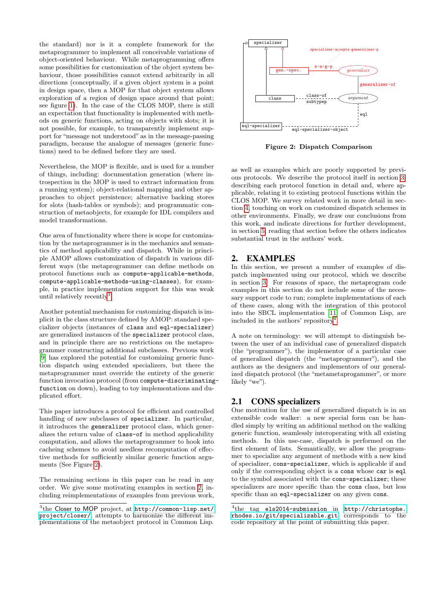the standard) nor is it a complete framework for the metaprogrammer to implement all conceivable variations of object-oriented behaviour. While metaprogramming offers some possibilities for customization of the object system behaviour, those possibilities cannot extend arbitrarily in all directions (conceptually, if a given object system is a point in design space, then a MOP for that object system allows exploration of a region of design space around that point; see figure [1\)](#page-0-2). In the case of the CLOS MOP, there is still an expectation that functionality is implemented with methods on generic functions, acting on objects with slots; it is not possible, for example, to transparently implement support for "message not understood" as in the message-passing paradigm, because the analogue of messages (generic functions) need to be defined before they are used.

Nevertheless, the MOP is flexible, and is used for a number of things, including: documentation generation (where introspection in the MOP is used to extract information from a running system); object-relational mapping and other approaches to object persistence; alternative backing stores for slots (hash-tables or symbols); and programmatic construction of metaobjects, for example for IDL compilers and model transformations.

One area of functionality where there is scope for customization by the metaprogrammer is in the mechanics and semantics of method applicability and dispatch. While in principle AMOP allows customization of dispatch in various different ways (the metaprogrammer can define methods on protocol functions such as compute-applicable-methods, compute-applicable-methods-using-classes), for example, in practice implementation support for this was weak until relatively recently<sup>[3](#page-1-0)</sup>.

Another potential mechanism for customizing dispatch is implicit in the class structure defined by AMOP: standard specializer objects (instances of class and eql-specializer) are generalized instances of the specializer protocol class, and in principle there are no restrictions on the metaprogrammer constructing additional subclasses. Previous work [\[9\]](#page-7-5) has explored the potential for customizing generic function dispatch using extended specializers, but there the metaprogrammer must override the entirety of the generic function invocation protocol (from compute-discriminatingfunction on down), leading to toy implementations and duplicated effort.

This paper introduces a protocol for efficient and controlled handling of new subclasses of specializer. In particular, it introduces the generalizer protocol class, which generalizes the return value of class-of in method applicability computation, and allows the metaprogrammer to hook into cacheing schemes to avoid needless recomputation of effective methods for sufficiently similar generic function arguments (See Figure [2\)](#page-1-1).

The remaining sections in this paper can be read in any order. We give some motivating examples in section [2,](#page-1-2) including reimplementations of examples from previous work,



<span id="page-1-1"></span>Figure 2: Dispatch Comparison

as well as examples which are poorly supported by previous protocols. We describe the protocol itself in section [3,](#page-4-0) describing each protocol function in detail and, where applicable, relating it to existing protocol functions within the CLOS MOP. We survey related work in more detail in section [4,](#page-6-0) touching on work on customized dispatch schemes in other environments. Finally, we draw our conclusions from this work, and indicate directions for further development, in section [5;](#page-6-1) reading that section before the others indicates substantial trust in the authors' work.

# <span id="page-1-2"></span>2. EXAMPLES

In this section, we present a number of examples of dispatch implemented using our protocol, which we describe in section [3.](#page-4-0) For reasons of space, the metaprogram code examples in this section do not include some of the necessary support code to run; complete implementations of each of these cases, along with the integration of this protocol into the SBCL implementation [\[11\]](#page-7-6) of Common Lisp, are included in the authors' repository[4](#page-1-3) .

A note on terminology: we will attempt to distinguish between the user of an individual case of generalized dispatch (the "programmer"), the implementor of a particular case of generalized dispatch (the "metaprogrammer"), and the authors as the designers and implementors of our generalized dispatch protocol (the "metametaprogammer", or more likely "we").

# <span id="page-1-4"></span>2.1 CONS specializers

One motivation for the use of generalized dispatch is in an extensible code walker: a new special form can be handled simply by writing an additional method on the walking generic function, seamlessly interoperating with all existing methods. In this use-case, dispatch is performed on the first element of lists. Semantically, we allow the programmer to specialize any argument of methods with a new kind of specializer, cons-specializer, which is applicable if and only if the corresponding object is a cons whose car is eql to the symbol associated with the cons-specializer; these specializers are more specific than the cons class, but less specific than an eql-specializer on any given cons.

<span id="page-1-0"></span><sup>3</sup> the Closer to MOP project, at [http://common-lisp.net/](http://common-lisp.net/project/closer/) [project/closer/](http://common-lisp.net/project/closer/), attempts to harmonize the different implementations of the metaobject protocol in Common Lisp.

<span id="page-1-3"></span><sup>4</sup> the tag els2014-submission in [http://christophe.](http://christophe.rhodes.io/git/specializable.git) [rhodes.io/git/specializable.git](http://christophe.rhodes.io/git/specializable.git) corresponds to the code repository at the point of submitting this paper.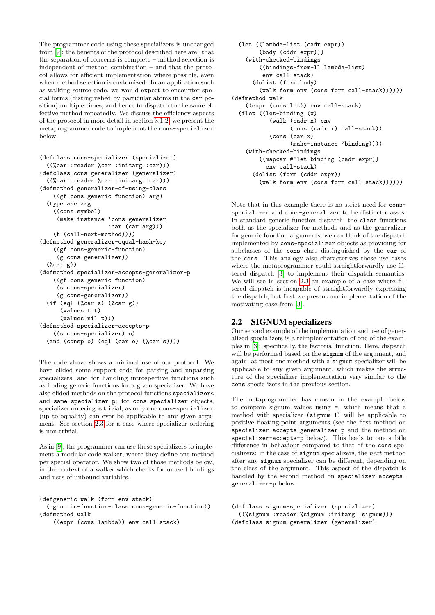The programmer code using these specializers is unchanged from [\[9\]](#page-7-5); the benefits of the protocol described here are: that the separation of concerns is complete – method selection is independent of method combination – and that the protocol allows for efficient implementation where possible, even when method selection is customized. In an application such as walking source code, we would expect to encounter special forms (distinguished by particular atoms in the car position) multiple times, and hence to dispatch to the same effective method repeatedly. We discuss the efficiency aspects of the protocol in more detail in section [3.1.2;](#page-5-0) we present the metaprogrammer code to implement the cons-specializer below.

```
(defclass cons-specializer (specializer)
  ((%car :reader %car :initarg :car)))
(defclass cons-generalizer (generalizer)
  ((%car :reader %car :initarg :car)))
(defmethod generalizer-of-using-class
    ((gf cons-generic-function) arg)
  (typecase arg
    ((cons symbol)
     (make-instance 'cons-generalizer
                    :car (car arg)))
    (t (call-next-method))))
(defmethod generalizer-equal-hash-key
    ((gf cons-generic-function)
     (g cons-generalizer))
  (\%car g))(defmethod specializer-accepts-generalizer-p
    ((gf cons-generic-function)
     (s cons-specializer)
     (g cons-generalizer))
  (if (eql (%car s) (%car g))(values t t)
      (values nil t)))
(defmethod specializer-accepts-p
    ((s cons-specializer) o)
  (and (consp o) (eql (car o) (%car s))))
```
The code above shows a minimal use of our protocol. We have elided some support code for parsing and unparsing specializers, and for handling introspective functions such as finding generic functions for a given specializer. We have also elided methods on the protocol functions specializer< and same-specializer-p; for cons-specializer objects, specializer ordering is trivial, as only one cons-specializer (up to equality) can ever be applicable to any given argument. See section [2.3](#page-3-0) for a case where specializer ordering is non-trivial.

As in [\[9\]](#page-7-5), the programmer can use these specializers to implement a modular code walker, where they define one method per special operator. We show two of those methods below, in the context of a walker which checks for unused bindings and uses of unbound variables.

```
(defgeneric walk (form env stack)
 (:generic-function-class cons-generic-function))
(defmethod walk
   ((expr (cons lambda)) env call-stack)
```

```
(let ((lambda-list (cadr expr))
        (body (cddr expr)))
    (with-checked-bindings
        ((bindings-from-ll lambda-list)
         env call-stack)
      (dolist (form body)
        (walk form env (cons form call-stack))))))
(defmethod walk
    ((expr (cons let)) env call-stack)
  (flet ((let-binding (x)
           (walk (cadr x) env
                 (cons (cadr x) call-stack))
           (cons (car x)
                 (make-instance 'binding))))
    (with-checked-bindings
        ((mapcar #'let-binding (cadr expr))
          env call-stack)
      (dolist (form (cddr expr))
        (walk form env (cons form call-stack))))))
```
Note that in this example there is no strict need for consspecializer and cons-generalizer to be distinct classes. In standard generic function dispatch, the class functions both as the specializer for methods and as the generalizer for generic function arguments; we can think of the dispatch implemented by cons-specializer objects as providing for subclasses of the cons class distinguished by the car of the cons. This analogy also characterizes those use cases where the metaprogrammer could straightforwardly use filtered dispatch [\[3\]](#page-7-7) to implement their dispatch semantics. We will see in section [2.3](#page-3-0) an example of a case where filtered dispatch is incapable of straightforwardly expressing the dispatch, but first we present our implementation of the motivating case from [\[3\]](#page-7-7).

# <span id="page-2-0"></span>2.2 SIGNUM specializers

Our second example of the implementation and use of generalized specializers is a reimplementation of one of the examples in [\[3\]](#page-7-7): specifically, the factorial function. Here, dispatch will be performed based on the signum of the argument, and again, at most one method with a signum specializer will be applicable to any given argument, which makes the structure of the specializer implementation very similar to the cons specializers in the previous section.

The metaprogrammer has chosen in the example below to compare signum values using =, which means that a method with specializer (signum 1) will be applicable to positive floating-point arguments (see the first method on specializer-accepts-generalizer-p and the method on specializer-accepts-p below). This leads to one subtle difference in behaviour compared to that of the cons specializers: in the case of signum specializers, the next method after any signum specializer can be different, depending on the class of the argument. This aspect of the dispatch is handled by the second method on specializer-acceptsgeneralizer-p below.

```
(defclass signum-specializer (specializer)
  ((%signum :reader %signum :initarg :signum)))
(defclass signum-generalizer (generalizer)
```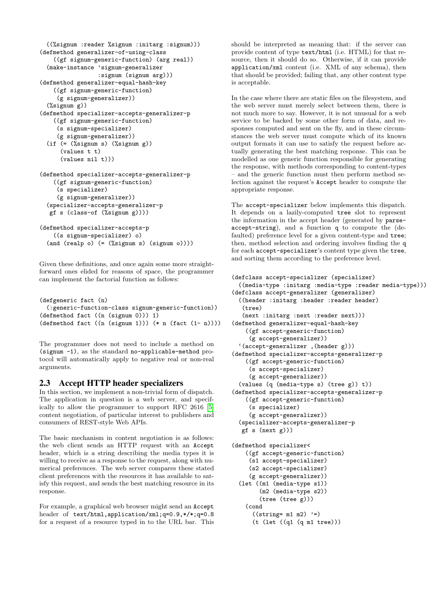```
((%signum :reader %signum :initarg :signum)))
(defmethod generalizer-of-using-class
    ((gf signum-generic-function) (arg real))
  (make-instance 'signum-generalizer
                 :signum (signum arg)))
(defmethod generalizer-equal-hash-key
    ((gf signum-generic-function)
     (g signum-generalizer))
  (%signum g))
(defmethod specializer-accepts-generalizer-p
    ((gf signum-generic-function)
     (s signum-specializer)
     (g signum-generalizer))
  (if ( = (\% \text{sigma s}) (\% \text{sigma g}))(values t t)
      (values nil t)))
(defmethod specializer-accepts-generalizer-p
    ((gf signum-generic-function)
     (s specializer)
     (g signum-generalizer))
  (specializer-accepts-generalizer-p
```

```
(defmethod specializer-accepts-p
    ((s signum-specializer) o)
  (and (realp o) (= (%signum s) (signum o))))
```
gf s (class-of (%signum g))))

Given these definitions, and once again some more straightforward ones elided for reasons of space, the programmer can implement the factorial function as follows:

```
(defgeneric fact (n)
  (:generic-function-class signum-generic-function))
(defmethod fact ((n (signum 0))) 1)
(defmethod fact ((n (signum 1))) (* n (fact (1- n))))
```
The programmer does not need to include a method on (signum -1), as the standard no-applicable-method protocol will automatically apply to negative real or non-real arguments.

#### <span id="page-3-0"></span>2.3 Accept HTTP header specializers

In this section, we implement a non-trivial form of dispatch. The application in question is a web server, and specifically to allow the programmer to support RFC 2616 [\[5\]](#page-7-8) content negotiation, of particular interest to publishers and consumers of REST-style Web APIs.

The basic mechanism in content negotiation is as follows: the web client sends an HTTP request with an Accept header, which is a string describing the media types it is willing to receive as a response to the request, along with numerical preferences. The web server compares these stated client preferences with the resources it has available to satisfy this request, and sends the best matching resource in its response.

For example, a graphical web browser might send an Accept header of text/html,application/xml;q=0.9,\*/\*;q=0.8 for a request of a resource typed in to the URL bar. This should be interpreted as meaning that: if the server can provide content of type text/html (i.e. HTML) for that resource, then it should do so. Otherwise, if it can provide application/xml content (i.e. XML of any schema), then that should be provided; failing that, any other content type is acceptable.

In the case where there are static files on the filesystem, and the web server must merely select between them, there is not much more to say. However, it is not unusual for a web service to be backed by some other form of data, and responses computed and sent on the fly, and in these circumstances the web server must compute which of its known output formats it can use to satisfy the request before actually generating the best matching response. This can be modelled as one generic function responsible for generating the response, with methods corresponding to content-types – and the generic function must then perform method selection against the request's Accept header to compute the appropriate response.

The accept-specializer below implements this dispatch. It depends on a lazily-computed tree slot to represent the information in the accept header (generated by parseaccept-string), and a function q to compute the (defaulted) preference level for a given content-type and tree; then, method selection and ordering involves finding the q for each accept-specializer's content type given the tree, and sorting them according to the preference level.

```
(defclass accept-specializer (specializer)
  ((media-type :initarg :media-type :reader media-type)))
(defclass accept-generalizer (generalizer)
  ((header :initarg :header :reader header)
   (tree)
   (next :initarg :next :reader next)))
(defmethod generalizer-equal-hash-key
    ((gf accept-generic-function)
     (g accept-generalizer))
  '(accept-generalizer ,(header g)))
(defmethod specializer-accepts-generalizer-p
   ((gf accept-generic-function)
     (s accept-specializer)
     (g accept-generalizer))
  (values (q (media-type s) (tree g)) t))
(defmethod specializer-accepts-generalizer-p
    ((gf accept-generic-function)
     (s specializer)
     (g accept-generalizer))
  (specializer-accepts-generalizer-p
  gf s (next g)))
(defmethod specializer<
   ((gf accept-generic-function)
     (s1 accept-specializer)
     (s2 accept-specializer)
     (g accept-generalizer))
  (let ((m1 (media-type s1))
        (m2 (media-type s2))
        (tree (tree g)))
   (cond
```

```
((string=m1 m2) '=)
(t (let ((q1 (q m1 tree)))
```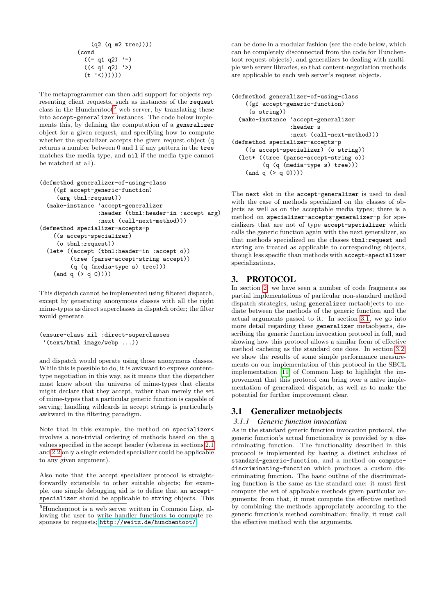```
(q2 (q m2 tree))))
(cond
  ((= q1 q2) '=)
  ((< q1 q2) '>)
  (t'('c))))))
```
The metaprogrammer can then add support for objects representing client requests, such as instances of the request class in the Hunchentoot<sup>[5](#page-4-1)</sup> web server, by translating these into accept-generalizer instances. The code below implements this, by defining the computation of a generalizer object for a given request, and specifying how to compute whether the specializer accepts the given request object (q returns a number between 0 and 1 if any pattern in the tree matches the media type, and nil if the media type cannot be matched at all).

```
(defmethod generalizer-of-using-class
    ((gf accept-generic-function)
     (arg tbnl:request))
 (make-instance 'accept-generalizer
                 :header (tbnl:header-in :accept arg)
                 :next (call-next-method)))
(defmethod specializer-accepts-p
    ((s accept-specializer)
     (o tbnl:request))
  (let* ((accept (tbnl:header-in :accept o))
         (tree (parse-accept-string accept))
         (q (q (media-type s) tree)))
    (and q (> q 0))))
```
This dispatch cannot be implemented using filtered dispatch, except by generating anonymous classes with all the right mime-types as direct superclasses in dispatch order; the filter would generate

```
(ensure-class nil :direct-superclasses
 '(text/html image/webp ...))
```
and dispatch would operate using those anonymous classes. While this is possible to do, it is awkward to express contenttype negotiation in this way, as it means that the dispatcher must know about the universe of mime-types that clients might declare that they accept, rather than merely the set of mime-types that a particular generic function is capable of serving; handling wildcards in accept strings is particularly awkward in the filtering paradigm.

Note that in this example, the method on specializer< involves a non-trivial ordering of methods based on the q values specified in the accept header (whereas in sections [2.1](#page-1-4) and [2.2](#page-2-0) only a single extended specializer could be applicable to any given argument).

Also note that the accept specializer protocol is straightforwardly extensible to other suitable objects; for example, one simple debugging aid is to define that an acceptspecializer should be applicable to string objects. This can be done in a modular fashion (see the code below, which can be completely disconnected from the code for Hunchentoot request objects), and generalizes to dealing with multiple web server libraries, so that content-negotiation methods are applicable to each web server's request objects.

```
(defmethod generalizer-of-using-class
    ((gf accept-generic-function)
     (s string))
  (make-instance 'accept-generalizer
                 :header s
                 :next (call-next-method)))
(defmethod specializer-accepts-p
   ((s accept-specializer) (o string))
  (let* ((tree (parse-accept-string o))
         (q (q (media-type s) tree)))
    (and q (> q 0))))
```
The next slot in the accept-generalizer is used to deal with the case of methods specialized on the classes of objects as well as on the acceptable media types; there is a method on specializer-accepts-generalizer-p for specializers that are not of type accept-specializer which calls the generic function again with the next generalizer, so that methods specialized on the classes tbnl:request and string are treated as applicable to corresponding objects, though less specific than methods with accept-specializer specializations.

# <span id="page-4-0"></span>3. PROTOCOL

In section [2,](#page-1-2) we have seen a number of code fragments as partial implementations of particular non-standard method dispatch strategies, using generalizer metaobjects to mediate between the methods of the generic function and the actual arguments passed to it. In section [3.1,](#page-4-2) we go into more detail regarding these generalizer metaobjects, describing the generic function invocation protocol in full, and showing how this protocol allows a similar form of effective method cacheing as the standard one does. In section [3.2,](#page-5-1) we show the results of some simple performance measurements on our implementation of this protocol in the SBCL implementation [\[11\]](#page-7-6) of Common Lisp to highlight the improvement that this protocol can bring over a naïve implementation of generalized dispatch, as well as to make the potential for further improvement clear.

# <span id="page-4-2"></span>3.1 Generalizer metaobjects

## *3.1.1 Generic function invocation*

As in the standard generic function invocation protocol, the generic function's actual functionality is provided by a discriminating function. The functionality described in this protocol is implemented by having a distinct subclass of standard-generic-function, and a method on computediscriminating-function which produces a custom discriminating function. The basic outline of the discriminating function is the same as the standard one: it must first compute the set of applicable methods given particular arguments; from that, it must compute the effective method by combining the methods appropriately according to the generic function's method combination; finally, it must call the effective method with the arguments.

<span id="page-4-1"></span><sup>5</sup>Hunchentoot is a web server written in Common Lisp, allowing the user to write handler functions to compute responses to requests; <http://weitz.de/hunchentoot/>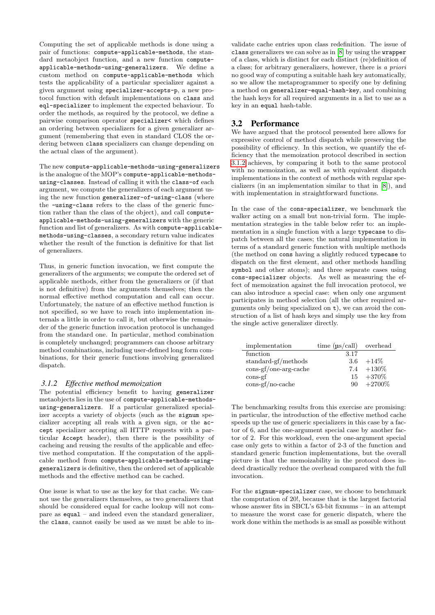Computing the set of applicable methods is done using a pair of functions: compute-applicable-methods, the standard metaobject function, and a new function computeapplicable-methods-using-generalizers. We define a custom method on compute-applicable-methods which tests the applicability of a particular specializer against a given argument using specializer-accepts-p, a new protocol function with default implementations on class and eql-specializer to implement the expected behaviour. To order the methods, as required by the protocol, we define a pairwise comparison operator specializer< which defines an ordering between specializers for a given generalizer argument (remembering that even in standard CLOS the ordering between class specializers can change depending on the actual class of the argument).

The new compute-applicable-methods-using-generalizers is the analogue of the MOP's compute-applicable-methodsusing-classes. Instead of calling it with the class-of each argument, we compute the generalizers of each argument using the new function generalizer-of-using-class (where the -using-class refers to the class of the generic function rather than the class of the object), and call computeapplicable-methods-using-generalizers with the generic function and list of generalizers. As with compute-applicablemethods-using-classes, a secondary return value indicates whether the result of the function is definitive for that list of generalizers.

Thus, in generic function invocation, we first compute the generalizers of the arguments; we compute the ordered set of applicable methods, either from the generalizers or (if that is not definitive) from the arguments themselves; then the normal effective method computation and call can occur. Unfortunately, the nature of an effective method function is not specified, so we have to reach into implementation internals a little in order to call it, but otherwise the remainder of the generic function invocation protocol is unchanged from the standard one. In particular, method combination is completely unchanged; programmers can choose arbitrary method combinations, including user-defined long form combinations, for their generic functions involving generalized dispatch.

#### <span id="page-5-0"></span>*3.1.2 Effective method memoization*

The potential efficiency benefit to having generalizer metaobjects lies in the use of compute-applicable-methodsusing-generalizers. If a particular generalized specializer accepts a variety of objects (such as the signum specializer accepting all reals with a given sign, or the accept specializer accepting all HTTP requests with a particular Accept header), then there is the possibility of cacheing and reusing the results of the applicable and effective method computation. If the computation of the applicable method from compute-applicable-methods-usinggeneralizers is definitive, then the ordered set of applicable methods and the effective method can be cached.

One issue is what to use as the key for that cache. We cannot use the generalizers themselves, as two generalizers that should be considered equal for cache lookup will not compare as equal – and indeed even the standard generalizer, the class, cannot easily be used as we must be able to in-

validate cache entries upon class redefinition. The issue of class generalizers we can solve as in [\[8\]](#page-7-9) by using the wrapper of a class, which is distinct for each distinct (re)definition of a class; for arbitrary generalizers, however, there is a priori no good way of computing a suitable hash key automatically, so we allow the metaprogrammer to specify one by defining a method on generalizer-equal-hash-key, and combining the hash keys for all required arguments in a list to use as a key in an equal hash-table.

#### <span id="page-5-1"></span>3.2 Performance

We have argued that the protocol presented here allows for expressive control of method dispatch while preserving the possibility of efficiency. In this section, we quantify the efficiency that the memoization protocol described in section [3.1.2](#page-5-0) achieves, by comparing it both to the same protocol with no memoization, as well as with equivalent dispatch implementations in the context of methods with regular specializers (in an implementation similar to that in [\[8\]](#page-7-9)), and with implementation in straightforward functions.

In the case of the cons-specializer, we benchmark the walker acting on a small but non-trivial form. The implementation strategies in the table below refer to: an implementation in a single function with a large typecase to dispatch between all the cases; the natural implementation in terms of a standard generic function with multiple methods (the method on cons having a slightly reduced typecase to dispatch on the first element, and other methods handling symbol and other atoms); and three separate cases using cons-specializer objects. As well as measuring the effect of memoization against the full invocation protocol, we can also introduce a special case: when only one argument participates in method selection (all the other required arguments only being specialized on  $t$ ), we can avoid the construction of a list of hash keys and simply use the key from the single active generalizer directly.

| implementation                                                 | time $(\mu s / \text{call})$ overhead |          |
|----------------------------------------------------------------|---------------------------------------|----------|
| function                                                       | 3.17                                  |          |
| standard-gf/methods                                            | 3.6                                   | $+14\%$  |
| $\cos\left(\frac{f}{\cosh\theta}\right)$ cons-gf/one-arg-cache | 7.4                                   | $+130\%$ |
| $\cos$ -gf                                                     | 15                                    | $+370\%$ |
| $\cos\left(\frac{f}{10}\right)$ cache                          | 90                                    | $+2700%$ |

The benchmarking results from this exercise are promising: in particular, the introduction of the effective method cache speeds up the use of generic specializers in this case by a factor of 6, and the one-argument special case by another factor of 2. For this workload, even the one-argument special case only gets to within a factor of 2-3 of the function and standard generic function implementations, but the overall picture is that the memoizability in the protocol does indeed drastically reduce the overhead compared with the full invocation.

For the signum-specializer case, we choose to benchmark the computation of 20!, because that is the largest factorial whose answer fits in SBCL's 63-bit fixnums – in an attempt to measure the worst case for generic dispatch, where the work done within the methods is as small as possible without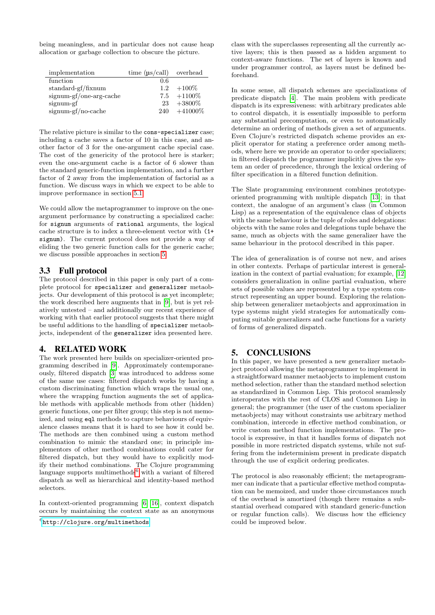being meaningless, and in particular does not cause heap allocation or garbage collection to obscure the picture.

| implementation          | time $(\mu s / \text{call})$ overhead |                |
|-------------------------|---------------------------------------|----------------|
| function                | 0.6                                   |                |
| $standard-gf/fixnum$    | 1.2                                   | $+100\%$       |
| signum-gf/one-arg-cache |                                       | $7.5 + 1100\%$ |
| signum-gf               | 23                                    | $+3800\%$      |
| signum-gf/no-cache      | 240                                   | $+41000\%$     |

The relative picture is similar to the cons-specializer case; including a cache saves a factor of 10 in this case, and another factor of 3 for the one-argument cache special case. The cost of the genericity of the protocol here is starker; even the one-argument cache is a factor of 6 slower than the standard generic-function implementation, and a further factor of 2 away from the implementation of factorial as a function. We discuss ways in which we expect to be able to improve performance in section [5.1.](#page-7-10)

We could allow the metaprogrammer to improve on the oneargument performance by constructing a specialized cache: for signum arguments of rational arguments, the logical cache structure is to index a three-element vector with (1+ signum). The current protocol does not provide a way of eliding the two generic function calls for the generic cache; we discuss possible approaches in section [5.](#page-6-1)

## 3.3 Full protocol

The protocol described in this paper is only part of a complete protocol for specializer and generalizer metaobjects. Our development of this protocol is as yet incomplete; the work described here augments that in [\[9\]](#page-7-5), but is yet relatively untested – and additionally our recent experience of working with that earlier protocol suggests that there might be useful additions to the handling of specializer metaobjects, independent of the generalizer idea presented here.

## <span id="page-6-0"></span>4. RELATED WORK

The work presented here builds on specializer-oriented programming described in [\[9\]](#page-7-5). Approximately contemporaneously, filtered dispatch [\[3\]](#page-7-7) was introduced to address some of the same use cases: filtered dispatch works by having a custom discriminating function which wraps the usual one, where the wrapping function augments the set of applicable methods with applicable methods from other (hidden) generic functions, one per filter group; this step is not memoized, and using eql methods to capture behaviours of equivalence classes means that it is hard to see how it could be. The methods are then combined using a custom method combination to mimic the standard one; in principle implementors of other method combinations could cater for filtered dispatch, but they would have to explicitly modify their method combinations. The Clojure programming language supports multimethods $6$  with a variant of filtered dispatch as well as hierarchical and identity-based method selectors.

In context-oriented programming [\[6,](#page-7-11) [16\]](#page-7-12), context dispatch occurs by maintaining the context state as an anonymous

<span id="page-6-2"></span> $^6$ http:// $cl$ ojure.org/multimethods

class with the superclasses representing all the currently active layers; this is then passed as a hidden argument to context-aware functions. The set of layers is known and under programmer control, as layers must be defined beforehand.

In some sense, all dispatch schemes are specializations of predicate dispatch [\[4\]](#page-7-13). The main problem with predicate dispatch is its expressiveness: with arbitrary predicates able to control dispatch, it is essentially impossible to perform any substantial precomputation, or even to automatically determine an ordering of methods given a set of arguments. Even Clojure's restricted dispatch scheme provides an explicit operator for stating a preference order among methods, where here we provide an operator to order specializers; in filtered dispatch the programmer implicitly gives the system an order of precedence, through the lexical ordering of filter specification in a filtered function definition.

The Slate programming environment combines prototypeoriented programming with multiple dispatch [\[13\]](#page-7-14); in that context, the analogue of an argument's class (in Common Lisp) as a representation of the equivalence class of objects with the same behaviour is the tuple of roles and delegations: objects with the same roles and delegations tuple behave the same, much as objects with the same generalizer have the same behaviour in the protocol described in this paper.

The idea of generalization is of course not new, and arises in other contexts. Perhaps of particular interest is generalization in the context of partial evaluation; for example, [\[12\]](#page-7-15) considers generalization in online partial evaluation, where sets of possible values are represented by a type system construct representing an upper bound. Exploring the relationship between generalizer metaobjects and approximation in type systems might yield strategies for automatically computing suitable generalizers and cache functions for a variety of forms of generalized dispatch.

# <span id="page-6-1"></span>5. CONCLUSIONS

In this paper, we have presented a new generalizer metaobject protocol allowing the metaprogrammer to implement in a straightforward manner metaobjects to implement custom method selection, rather than the standard method selection as standardized in Common Lisp. This protocol seamlessly interoperates with the rest of CLOS and Common Lisp in general; the programmer (the user of the custom specializer metaobjects) may without constraints use arbitrary method combination, intercede in effective method combination, or write custom method function implementations. The protocol is expressive, in that it handles forms of dispatch not possible in more restricted dispatch systems, while not suffering from the indeterminism present in predicate dispatch through the use of explicit ordering predicates.

The protocol is also reasonably efficient; the metaprogrammer can indicate that a particular effective method computation can be memoized, and under those circumstances much of the overhead is amortized (though there remains a substantial overhead compared with standard generic-function or regular function calls). We discuss how the efficiency could be improved below.